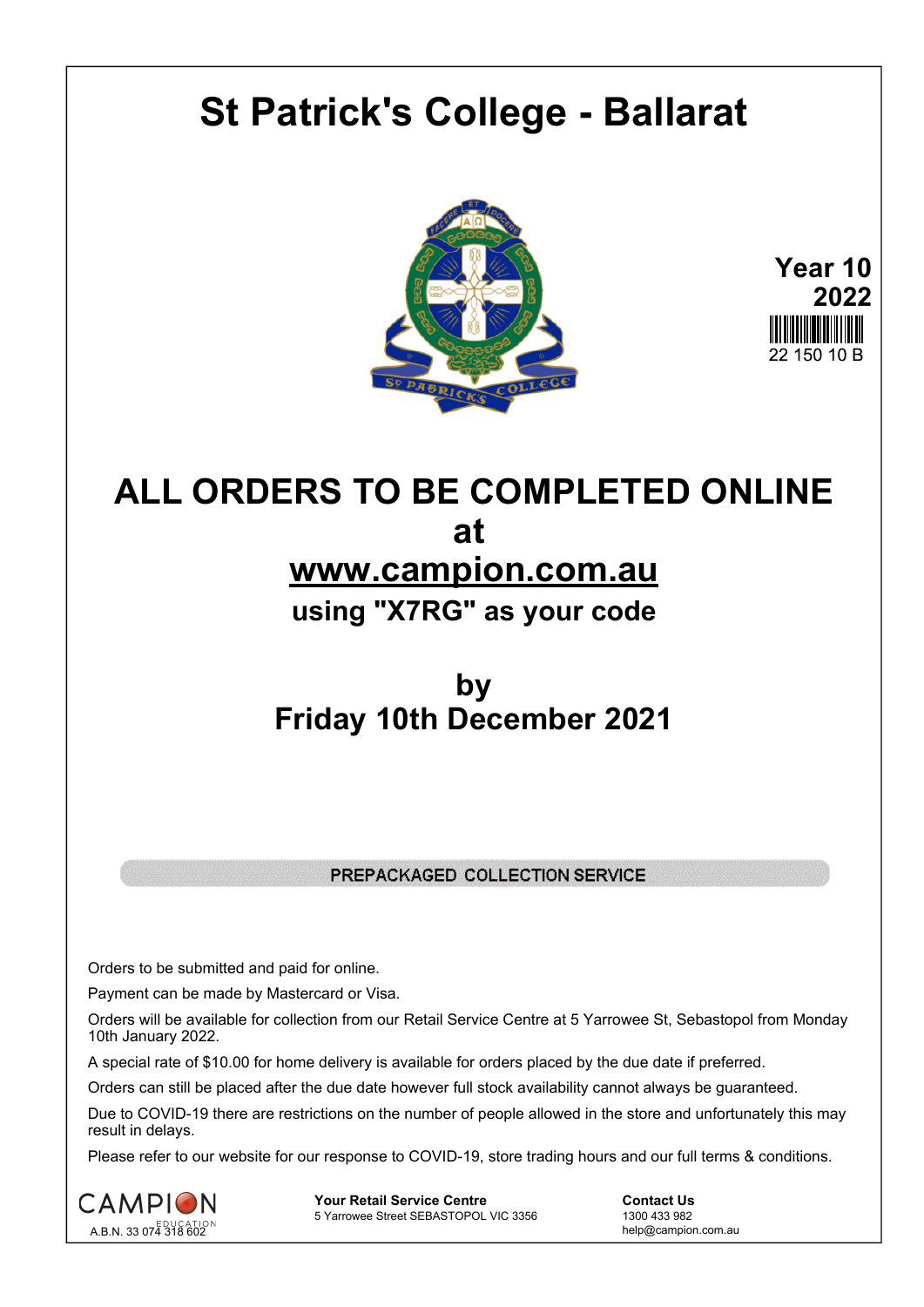# **St Patrick's College - Ballarat**



**Year 10 2022** 22 150 10 B

# **ALL ORDERS TO BE COMPLETED ONLINE at www.campion.com.au using "X7RG" as your code**

# **by Friday 10th December 2021**

# PREPACKAGED COLLECTION SERVICE

Orders to be submitted and paid for online.

Payment can be made by Mastercard or Visa.

Orders will be available for collection from our Retail Service Centre at 5 Yarrowee St, Sebastopol from Monday 10th January 2022.

A special rate of \$10.00 for home delivery is available for orders placed by the due date if preferred.

Orders can still be placed after the due date however full stock availability cannot always be guaranteed.

Due to COVID-19 there are restrictions on the number of people allowed in the store and unfortunately this may result in delays.

Please refer to our website for our response to COVID-19, store trading hours and our full terms & conditions.



**Your Retail Service Centre**  Contact Us<br>
5 Yarrowee Street SEBASTOPOL VIC 3356 1300 433 982 5 Yarrowee Street SEBASTOPOL VIC 3356

help@campion.com.au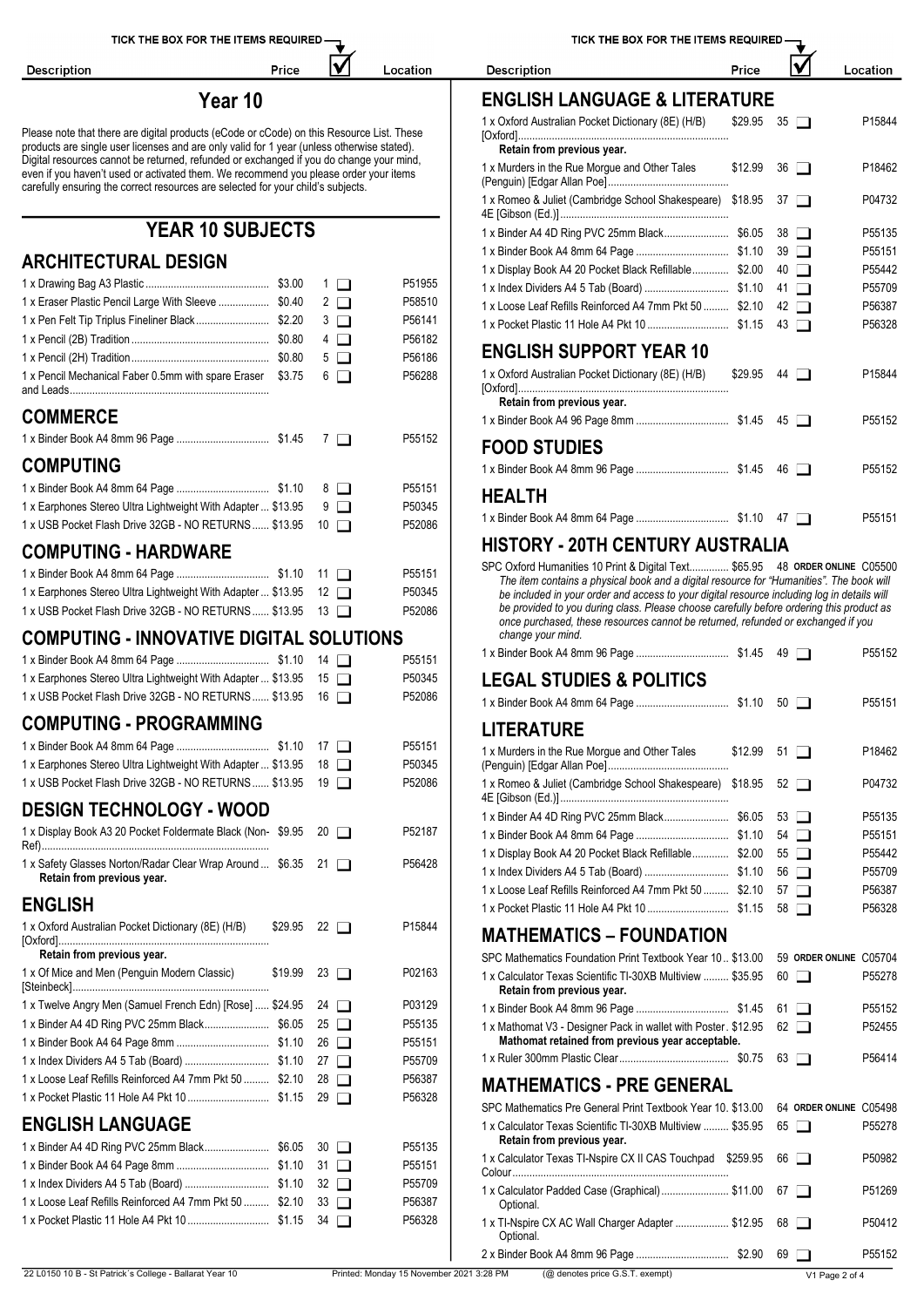lV

Location

Price

Description

# **Year 10** E

Please note that there are digital products (eCode or cCode) on this Resource List. These products are single user licenses and are only valid for 1 year (unless otherwise stated).  $\blacksquare$ Digital resources cannot be returned, refunded or exchanged if you do change your mind, even if you do change your mind,<br>
even if you haven't used or activated them. We recommend you please order your items<br>
carefully ensuring the correct resources are selected for you robid's subjects carefully ensuring the correct resources are selected for your child's subjects.

# **YEAR 10 SUBJECTS**

# **ARCHITECTURAL DESIGN**

|                                                                 |                    |        |                                                                                                                                                                                         |                        | <b>P33442</b> |
|-----------------------------------------------------------------|--------------------|--------|-----------------------------------------------------------------------------------------------------------------------------------------------------------------------------------------|------------------------|---------------|
|                                                                 | $1\Box$            | P51955 |                                                                                                                                                                                         |                        | P55709        |
| 1 x Eraser Plastic Pencil Large With Sleeve  \$0.40             | $2\Box$            | P58510 | 1 x Loose Leaf Refills Reinforced A4 7mm Pkt 50  \$2.10 42                                                                                                                              |                        | P56387        |
|                                                                 | $3\Box$            | P56141 |                                                                                                                                                                                         |                        | P56328        |
|                                                                 | $4\Box$            | P56182 | <b>ENGLISH SUPPORT YEAR 10</b>                                                                                                                                                          |                        |               |
|                                                                 | $5\Box$            | P56186 |                                                                                                                                                                                         |                        |               |
| 1 x Pencil Mechanical Faber 0.5mm with spare Eraser \$3.75      | $6\Box$            | P56288 | 1 x Oxford Australian Pocket Dictionary (8E) (H/B)<br>Retain from previous year.                                                                                                        | $$29.95$ 44 $\Box$     | P15844        |
| <b>COMMERCE</b>                                                 |                    |        |                                                                                                                                                                                         |                        | P55152        |
|                                                                 |                    | P55152 |                                                                                                                                                                                         |                        |               |
| <b>COMPUTING</b>                                                |                    |        | <b>FOOD STUDIES</b>                                                                                                                                                                     |                        | P55152        |
|                                                                 |                    | P55151 |                                                                                                                                                                                         |                        |               |
| 1 x Earphones Stereo Ultra Lightweight With Adapter  \$13.95    | 9 □                | P50345 | <b>HEALTH</b>                                                                                                                                                                           |                        |               |
| 1 x USB Pocket Flash Drive 32GB - NO RETURNS  \$13.95 10        |                    | P52086 |                                                                                                                                                                                         |                        | P55151        |
| <b>COMPUTING - HARDWARE</b>                                     |                    |        | <b>HISTORY - 20TH CENTURY AUSTRALIA</b>                                                                                                                                                 |                        |               |
|                                                                 |                    | P55151 | SPC Oxford Humanities 10 Print & Digital Text \$65.95 48 ORDER ONLINE C05500                                                                                                            |                        |               |
| 1 x Earphones Stereo Ultra Lightweight With Adapter  \$13.95 12 |                    | P50345 | The item contains a physical book and a digital resource for "Humanities". The book will<br>be included in your order and access to your digital resource including log in details will |                        |               |
| 1 x USB Pocket Flash Drive 32GB - NO RETURNS  \$13.95 13        |                    | P52086 | be provided to you during class. Please choose carefully before ordering this product as                                                                                                |                        |               |
|                                                                 |                    |        | once purchased, these resources cannot be returned, refunded or exchanged if you                                                                                                        |                        |               |
| <b>COMPUTING - INNOVATIVE DIGITAL SOLUTIONS</b>                 |                    |        | change your mind.                                                                                                                                                                       |                        | P55152        |
|                                                                 |                    | P55151 |                                                                                                                                                                                         |                        |               |
| 1x Earphones Stereo Ultra Lightweight With Adapter  \$13.95 15  |                    | P50345 | <b>LEGAL STUDIES &amp; POLITICS</b>                                                                                                                                                     |                        |               |
| 1 x USB Pocket Flash Drive 32GB - NO RETURNS  \$13.95 16        |                    | P52086 |                                                                                                                                                                                         |                        | P55151        |
| <b>COMPUTING - PROGRAMMING</b>                                  |                    |        | <b>LITERATURE</b>                                                                                                                                                                       |                        |               |
|                                                                 |                    | P55151 | 1 x Murders in the Rue Morgue and Other Tales                                                                                                                                           | $$12.99$ 51 $\Box$     | P18462        |
| 1 x Earphones Stereo Ultra Lightweight With Adapter  \$13.95 18 |                    | P50345 |                                                                                                                                                                                         |                        |               |
| 1 x USB Pocket Flash Drive 32GB - NO RETURNS  \$13.95 19        |                    | P52086 | 1 x Romeo & Juliet (Cambridge School Shakespeare) \$18.95 52                                                                                                                            |                        | P04732        |
| <b>DESIGN TECHNOLOGY - WOOD</b>                                 |                    |        | 1 x Binder A4 4D Ring PVC 25mm Black\$6.05                                                                                                                                              | $53$ $\Box$            | P55135        |
| 1 x Display Book A3 20 Pocket Foldermate Black (Non-\$9.95 20   |                    | P52187 |                                                                                                                                                                                         |                        | P55151        |
| 1 x Safety Glasses Norton/Radar Clear Wrap Around  \$6.35 21    |                    | P56428 | 1 x Display Book A4 20 Pocket Black Refillable \$2.00 55                                                                                                                                |                        | P55442        |
| Retain from previous year.                                      |                    |        |                                                                                                                                                                                         |                        | P55709        |
|                                                                 |                    |        | 1 x Loose Leaf Refills Reinforced A4 7mm Pkt 50  \$2.10 57                                                                                                                              |                        | P56387        |
| <b>ENGLISH</b>                                                  |                    |        |                                                                                                                                                                                         |                        | P56328        |
| 1 x Oxford Australian Pocket Dictionary (8E) (H/B)              | $$29.95$ 22 $\Box$ | P15844 | <b>MATHEMATICS - FOUNDATION</b>                                                                                                                                                         |                        |               |
| Retain from previous year.                                      |                    |        | SPC Mathematics Foundation Print Textbook Year 10 \$13.00 59 ORDER ONLINE C05704                                                                                                        |                        |               |
| 1 x Of Mice and Men (Penguin Modern Classic)                    | $$19.99$ 23 $\Box$ | P02163 | 1 x Calculator Texas Scientific TI-30XB Multiview  \$35.95<br>Retain from previous year.                                                                                                | $60$ $\Box$            | P55278        |
| 1 x Twelve Angry Men (Samuel French Edn) [Rose]  \$24.95        | 24 $\Box$          | P03129 |                                                                                                                                                                                         | 61 $\Box$              | P55152        |
|                                                                 |                    | P55135 | 1 x Mathomat V3 - Designer Pack in wallet with Poster. \$12.95 62                                                                                                                       |                        | P52455        |
|                                                                 |                    | P55151 | Mathomat retained from previous year acceptable.                                                                                                                                        |                        |               |
|                                                                 |                    | P55709 |                                                                                                                                                                                         |                        | P56414        |
| 1 x Loose Leaf Refills Reinforced A4 7mm Pkt 50  \$2.10 28      |                    | P56387 | <b>MATHEMATICS - PRE GENERAL</b>                                                                                                                                                        |                        |               |
|                                                                 |                    | P56328 | SPC Mathematics Pre General Print Textbook Year 10, \$13.00                                                                                                                             | 64 ORDER ONLINE C05498 |               |
| <b>ENGLISH LANGUAGE</b>                                         |                    |        | 1 x Calculator Texas Scientific TI-30XB Multiview  \$35.95<br>Retain from previous year.                                                                                                | $65$ $\Box$            | P55278        |
|                                                                 |                    | P55135 | 1 x Calculator Texas TI-Nspire CX II CAS Touchpad \$259.95                                                                                                                              | $66$ $\Box$            | P50982        |
|                                                                 |                    | P55151 |                                                                                                                                                                                         |                        |               |
|                                                                 |                    | P55709 | 1 x Calculator Padded Case (Graphical) \$11.00                                                                                                                                          | 67 [_]                 | P51269        |
| 1 x Loose Leaf Refills Reinforced A4 7mm Pkt 50  \$2.10         | $33$ $\Box$        | P56387 | Optional.                                                                                                                                                                               |                        |               |
|                                                                 |                    | P56328 | 1 x TI-Nspire CX AC Wall Charger Adapter  \$12.95<br>Optional.                                                                                                                          | $68$ $\Box$            | P50412        |
|                                                                 |                    |        | 2 x Binder Book A4 8mm 96 Page                                                                                                                                                          | $$2.90$ 69 $\Box$      | P55152        |

| TICK THE BOX FOR THE ITEMS REQUIRED                                                                                                                                                                                                                                                                                                                                                                                                                                          |         |              |                    |
|------------------------------------------------------------------------------------------------------------------------------------------------------------------------------------------------------------------------------------------------------------------------------------------------------------------------------------------------------------------------------------------------------------------------------------------------------------------------------|---------|--------------|--------------------|
| <b>Description</b>                                                                                                                                                                                                                                                                                                                                                                                                                                                           | Price   |              | Location           |
| <b>ENGLISH LANGUAGE &amp; LITERATURE</b>                                                                                                                                                                                                                                                                                                                                                                                                                                     |         |              |                    |
| 1 x Oxford Australian Pocket Dictionary (8E) (H/B)<br>Retain from previous year.                                                                                                                                                                                                                                                                                                                                                                                             | \$29.95 | $35\Box$     | P15844             |
| 1 x Murders in the Rue Morgue and Other Tales                                                                                                                                                                                                                                                                                                                                                                                                                                | \$12.99 | $36$ $\Box$  | P18462             |
| 1 x Romeo & Juliet (Cambridge School Shakespeare) \$18.95                                                                                                                                                                                                                                                                                                                                                                                                                    |         | $37$ $\Box$  | P04732             |
|                                                                                                                                                                                                                                                                                                                                                                                                                                                                              |         | $38$ $\Box$  | P55135             |
|                                                                                                                                                                                                                                                                                                                                                                                                                                                                              |         | $39$ $\Box$  | P55151             |
| 1 x Display Book A4 20 Pocket Black Refillable \$2.00                                                                                                                                                                                                                                                                                                                                                                                                                        |         | $40$ $\Box$  | P55442             |
|                                                                                                                                                                                                                                                                                                                                                                                                                                                                              |         | $41 \Box$    | P55709             |
| 1 x Loose Leaf Refills Reinforced A4 7mm Pkt 50  \$2.10                                                                                                                                                                                                                                                                                                                                                                                                                      |         | $42 \square$ | P56387             |
|                                                                                                                                                                                                                                                                                                                                                                                                                                                                              |         | $43$ $\Box$  | P56328             |
| <b>ENGLISH SUPPORT YEAR 10</b>                                                                                                                                                                                                                                                                                                                                                                                                                                               |         |              |                    |
| 1 x Oxford Australian Pocket Dictionary (8E) (H/B)<br>Retain from previous year.                                                                                                                                                                                                                                                                                                                                                                                             | \$29.95 | $44 \Box$    | P <sub>15844</sub> |
|                                                                                                                                                                                                                                                                                                                                                                                                                                                                              |         |              | P55152             |
| <b>FOOD STUDIES</b>                                                                                                                                                                                                                                                                                                                                                                                                                                                          |         |              |                    |
|                                                                                                                                                                                                                                                                                                                                                                                                                                                                              |         |              | P55152             |
| <b>HEALTH</b>                                                                                                                                                                                                                                                                                                                                                                                                                                                                |         |              |                    |
|                                                                                                                                                                                                                                                                                                                                                                                                                                                                              |         |              | P55151             |
| HISTORY - 20TH CENTURY AUSTRALIA                                                                                                                                                                                                                                                                                                                                                                                                                                             |         |              |                    |
| SPC Oxford Humanities 10 Print & Digital Text \$65.95 48 ORDER ONLINE C05500<br>The item contains a physical book and a digital resource for "Humanities". The book will<br>be included in your order and access to your digital resource including log in details will<br>be provided to you during class. Please choose carefully before ordering this product as<br>once purchased, these resources cannot be returned, refunded or exchanged if you<br>change your mind. |         |              |                    |
|                                                                                                                                                                                                                                                                                                                                                                                                                                                                              |         | $49$ $\Box$  | P55152             |
| <b>LEGAL STUDIES &amp; POLITICS</b>                                                                                                                                                                                                                                                                                                                                                                                                                                          |         |              |                    |
|                                                                                                                                                                                                                                                                                                                                                                                                                                                                              |         |              | P55151             |
|                                                                                                                                                                                                                                                                                                                                                                                                                                                                              |         |              |                    |

| LULIVAIVIL                                                   |         |             |                    |
|--------------------------------------------------------------|---------|-------------|--------------------|
| 1 x Murders in the Rue Morque and Other Tales                | \$12.99 | $51$ $\Box$ | P <sub>18462</sub> |
| 1 x Romeo & Juliet (Cambridge School Shakespeare) \$18.95 52 |         |             | P04732             |
|                                                              |         |             | P55135             |
|                                                              |         | $54 \mid$   | P55151             |
| 1 x Display Book A4 20 Pocket Black Refillable \$2.00 55     |         |             | P55442             |
|                                                              |         | 56 I I      | P55709             |
| 1 x Loose Leaf Refills Reinforced A4 7mm Pkt 50  \$2.10 57   |         |             | P56387             |
|                                                              |         | $58$ $\Box$ | P56328             |

| SPC Mathematics Foundation Print Textbook Year 10., \$13.00                                                        |    | 59 ORDER ONLINE C05704 |        |
|--------------------------------------------------------------------------------------------------------------------|----|------------------------|--------|
| 1 x Calculator Texas Scientific TI-30XB Multiview  \$35.95<br>Retain from previous year.                           | 60 | $\perp$                | P55278 |
|                                                                                                                    | 61 | $\perp$ 1              | P55152 |
| 1 x Mathomat V3 - Designer Pack in wallet with Poster. \$12.95<br>Mathomat retained from previous year acceptable. |    | $62 \mid \mid$         | P52455 |
|                                                                                                                    | 63 | $\mathbf{1}$           | P56414 |
| <b>MATHEMATICS - PRE GENERAL</b>                                                                                   |    |                        |        |
| SPC Mathematics Pre General Print Textbook Year 10, \$13.00                                                        |    | 64 ORDER ONLINE C05498 |        |
| 1 x Calculator Texas Scientific TI-30XB Multiview  \$35.95<br>Retain from previous year.                           | 65 |                        | P55278 |
| 1 x Calculator Texas TI-Nspire CX II CAS Touchpad<br>\$259.95                                                      | 66 | $\blacksquare$         | P50982 |
| 1 x Calculator Padded Case (Graphical) \$11.00<br>Optional.                                                        | 67 | $\blacksquare$         | P51269 |
| 1 x TI-Nspire CX AC Wall Charger Adapter  \$12.95<br>Optional.                                                     | 68 | $\blacksquare$         | P50412 |
|                                                                                                                    | 69 |                        | P55152 |
|                                                                                                                    |    |                        |        |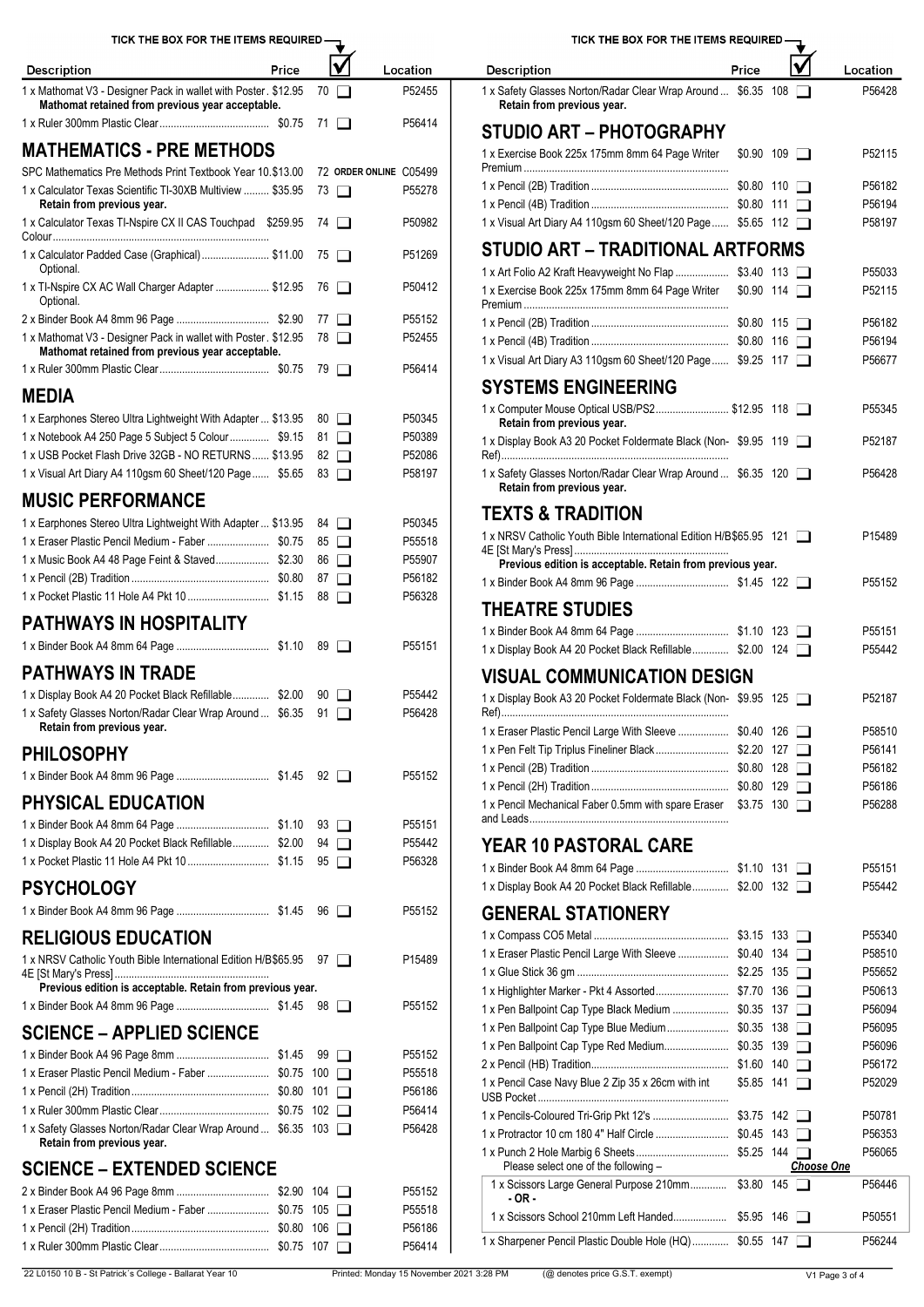| <b>Description</b>                                                                                                    | Price | V           | Location               | Price<br>Location<br><b>Description</b>                                                                                      |
|-----------------------------------------------------------------------------------------------------------------------|-------|-------------|------------------------|------------------------------------------------------------------------------------------------------------------------------|
| 1 x Mathomat V3 - Designer Pack in wallet with Poster. \$12.95 70<br>Mathomat retained from previous year acceptable. |       |             | P52455                 | 1 x Safety Glasses Norton/Radar Clear Wrap Around  \$6.35 108<br>P56428<br>Retain from previous year.                        |
|                                                                                                                       |       |             | P56414                 | <b>STUDIO ART - PHOTOGRAPHY</b>                                                                                              |
| <b>MATHEMATICS - PRE METHODS</b>                                                                                      |       |             |                        | 1 x Exercise Book 225x 175mm 8mm 64 Page Writer<br>$$0.90$ 109 $\Box$<br>P52115                                              |
| SPC Mathematics Pre Methods Print Textbook Year 10.\$13.00                                                            |       |             | 72 ORDER ONLINE C05499 |                                                                                                                              |
| 1 x Calculator Texas Scientific TI-30XB Multiview  \$35.95                                                            |       | 73 □        | P55278                 | P56182                                                                                                                       |
| Retain from previous year.                                                                                            |       |             |                        | P56194                                                                                                                       |
| 1 x Calculator Texas TI-Nspire CX II CAS Touchpad \$259.95 74                                                         |       |             | P50982                 | 1 x Visual Art Diary A4 110gsm 60 Sheet/120 Page  \$5.65 112<br>P58197                                                       |
| 1 x Calculator Padded Case (Graphical)  \$11.00 75                                                                    |       |             | P51269                 | STUDIO ART - TRADITIONAL ARTFORMS                                                                                            |
| Optional.                                                                                                             |       |             |                        | P55033<br>1 x Art Folio A2 Kraft Heavyweight No Flap<br>$$3.40$ 113 $\Box$                                                   |
| 1 x Tl-Nspire CX AC Wall Charger Adapter  \$12.95 76<br>Optional.                                                     |       |             | P50412                 | 1 x Exercise Book 225x 175mm 8mm 64 Page Writer<br>$$0.90$ 114 $\Box$<br>P52115                                              |
|                                                                                                                       |       |             | P55152                 | P56182                                                                                                                       |
| 1 x Mathomat V3 - Designer Pack in wallet with Poster. \$12.95 78                                                     |       |             | P52455                 | P56194                                                                                                                       |
| Mathomat retained from previous year acceptable.                                                                      |       |             |                        | 1 x Visual Art Diary A3 110gsm 60 Sheet/120 Page  \$9.25 117<br>P56677                                                       |
|                                                                                                                       |       |             | P56414                 |                                                                                                                              |
| <b>MEDIA</b>                                                                                                          |       |             |                        | <b>SYSTEMS ENGINEERING</b>                                                                                                   |
| 1 x Earphones Stereo Ultra Lightweight With Adapter  \$13.95                                                          |       | $80$ $\Box$ | P50345                 | 1 x Computer Mouse Optical USB/PS2 \$12.95 118<br>P55345<br>Retain from previous year.                                       |
| 1 x Notebook A4 250 Page 5 Subject 5 Colour \$9.15 81                                                                 |       |             | P50389                 | 1 x Display Book A3 20 Pocket Foldermate Black (Non-\$9.95 119<br>P52187                                                     |
| 1 x USB Pocket Flash Drive 32GB - NO RETURNS  \$13.95                                                                 |       | 82 $\Box$   | P52086                 |                                                                                                                              |
| 1 x Visual Art Diary A4 110gsm 60 Sheet/120 Page  \$5.65 83                                                           |       |             | P58197                 | 1 x Safety Glasses Norton/Radar Clear Wrap Around  \$6.35 120<br>P56428                                                      |
| <b>MUSIC PERFORMANCE</b>                                                                                              |       |             |                        | Retain from previous year.                                                                                                   |
| 1 x Earphones Stereo Ultra Lightweight With Adapter  \$13.95 84                                                       |       |             | P50345                 | <b>TEXTS &amp; TRADITION</b>                                                                                                 |
|                                                                                                                       |       | $85$ $\Box$ | P55518                 | 1 x NRSV Catholic Youth Bible International Edition H/B\$65.95 121<br>P15489                                                 |
| 1 x Music Book A4 48 Page Feint & Staved \$2.30                                                                       |       | $86$ $\Box$ | P55907                 | Previous edition is acceptable. Retain from previous year.                                                                   |
|                                                                                                                       |       | 87 □        | P56182                 | P55152                                                                                                                       |
|                                                                                                                       |       |             | P56328                 |                                                                                                                              |
| <b>PATHWAYS IN HOSPITALITY</b>                                                                                        |       |             |                        | <b>THEATRE STUDIES</b>                                                                                                       |
|                                                                                                                       |       |             | P55151                 | P55151                                                                                                                       |
|                                                                                                                       |       |             |                        | 1 x Display Book A4 20 Pocket Black Refillable \$2.00 124<br>P55442                                                          |
| <b>PATHWAYS IN TRADE</b>                                                                                              |       |             |                        | <b>VISUAL COMMUNICATION DESIGN</b>                                                                                           |
| 1 x Display Book A4 20 Pocket Black Refillable \$2.00 90                                                              |       |             | P55442                 | 1 x Display Book A3 20 Pocket Foldermate Black (Non-\$9.95 125<br>P52187                                                     |
| 1 x Safety Glasses Norton/Radar Clear Wrap Around  \$6.35 91                                                          |       |             | P56428                 |                                                                                                                              |
| Retain from previous year.                                                                                            |       |             |                        | 1 x Eraser Plastic Pencil Large With Sleeve  \$0.40 126<br>P58510                                                            |
| <b>PHILOSOPHY</b>                                                                                                     |       |             |                        | P56141                                                                                                                       |
|                                                                                                                       |       |             | P55152                 | P56182                                                                                                                       |
| <b>PHYSICAL EDUCATION</b>                                                                                             |       |             |                        | P56186<br>1 x Pencil Mechanical Faber 0.5mm with spare Eraser \$3.75 130<br>P56288                                           |
|                                                                                                                       |       |             | P55151                 |                                                                                                                              |
| 1 x Display Book A4 20 Pocket Black Refillable \$2.00 94                                                              |       |             | P55442                 | <b>YEAR 10 PASTORAL CARE</b>                                                                                                 |
|                                                                                                                       |       |             | P56328                 |                                                                                                                              |
|                                                                                                                       |       |             |                        | P55151<br>1 x Display Book A4 20 Pocket Black Refillable \$2.00 132<br>P55442                                                |
| <b>PSYCHOLOGY</b>                                                                                                     |       |             |                        |                                                                                                                              |
|                                                                                                                       |       |             | P55152                 | <b>GENERAL STATIONERY</b>                                                                                                    |
| <b>RELIGIOUS EDUCATION</b>                                                                                            |       |             |                        | P55340                                                                                                                       |
| 1 x NRSV Catholic Youth Bible International Edition H/B\$65.95 97                                                     |       |             | P15489                 | 1 x Eraser Plastic Pencil Large With Sleeve  \$0.40 134<br>P58510                                                            |
| Previous edition is acceptable. Retain from previous year.                                                            |       |             |                        | P55652                                                                                                                       |
|                                                                                                                       |       |             | P55152                 | P50613                                                                                                                       |
|                                                                                                                       |       |             |                        | 1 x Pen Ballpoint Cap Type Black Medium  \$0.35 137<br>P56094<br>1 x Pen Ballpoint Cap Type Blue Medium \$0.35 138<br>P56095 |
| <b>SCIENCE - APPLIED SCIENCE</b>                                                                                      |       |             |                        | 1 x Pen Ballpoint Cap Type Red Medium \$0.35 139<br>P56096                                                                   |
|                                                                                                                       |       |             | P55152                 | P56172                                                                                                                       |
|                                                                                                                       |       |             | P55518                 | 1 x Pencil Case Navy Blue 2 Zip 35 x 26cm with int<br>P52029<br>$$5.85$ 141 $\Box$                                           |
|                                                                                                                       |       |             | P56186                 |                                                                                                                              |
|                                                                                                                       |       |             | P56414                 | P50781                                                                                                                       |
| 1 x Safety Glasses Norton/Radar Clear Wrap Around  \$6.35 103<br>Retain from previous year.                           |       |             | P56428                 | P56353                                                                                                                       |
|                                                                                                                       |       |             |                        | P56065<br>Please select one of the following -<br><b>Choose One</b>                                                          |
| <b>SCIENCE - EXTENDED SCIENCE</b>                                                                                     |       |             |                        | 1 x Scissors Large General Purpose 210mm \$3.80 145<br>P56446                                                                |
| 1 x Eraser Plastic Pencil Medium - Faber  \$0.75 105                                                                  |       |             | P55152                 | - OR -                                                                                                                       |
|                                                                                                                       |       |             | P55518<br>P56186       | P50551                                                                                                                       |
|                                                                                                                       |       |             | P56414                 | P56244<br>1 x Sharpener Pencil Plastic Double Hole (HQ) \$0.55 147                                                           |
|                                                                                                                       |       |             |                        |                                                                                                                              |

| TICK THE BOX FOR THE ITEMS REQUIRED.                                                                      |                      |                |                             |  |
|-----------------------------------------------------------------------------------------------------------|----------------------|----------------|-----------------------------|--|
| <b>Description</b>                                                                                        | Price                |                | Location                    |  |
| 1 x Safety Glasses Norton/Radar Clear Wrap Around  \$6.35 108<br>Retain from previous year.               |                      |                | P56428                      |  |
| STUDIO ART – PHOTOGRAPHY                                                                                  |                      |                |                             |  |
| 1 x Exercise Book 225x 175mm 8mm 64 Page Writer                                                           | $$0.90$ 109 $\Box$   |                | P52115                      |  |
|                                                                                                           |                      |                | P56182                      |  |
|                                                                                                           |                      |                | P56194                      |  |
| 1 x Visual Art Diary A4 110gsm 60 Sheet/120 Page \$5.65 112                                               |                      |                | P58197                      |  |
| STUDIO ART – TRADITIONAL ARTFORMS                                                                         |                      |                |                             |  |
| 1 x Art Folio A2 Kraft Heavyweight No Flap  \$3.40 113<br>1 x Exercise Book 225x 175mm 8mm 64 Page Writer | $$0.90$ 114 $\Box$   |                | P55033<br>P52115            |  |
|                                                                                                           |                      |                |                             |  |
|                                                                                                           |                      |                | P56182                      |  |
| 1 x Visual Art Diary A3 110gsm 60 Sheet/120 Page \$9.25 117                                               |                      |                | P56194<br>P56677            |  |
| <b>SYSTEMS ENGINEERING</b>                                                                                |                      |                |                             |  |
| 1 x Computer Mouse Optical USB/PS2 \$12.95 118<br>Retain from previous year.                              |                      |                | P55345                      |  |
| 1 x Display Book A3 20 Pocket Foldermate Black (Non-\$9.95 119                                            |                      |                | P52187                      |  |
| 1 x Safety Glasses Norton/Radar Clear Wrap Around  \$6.35 120<br>Retain from previous year.               |                      |                | P56428                      |  |
| TEXTS & TRADITION                                                                                         |                      |                |                             |  |
| 1 x NRSV Catholic Youth Bible International Edition H/B\$65.95 121                                        |                      |                | P15489                      |  |
| Previous edition is acceptable. Retain from previous year.                                                |                      |                |                             |  |
|                                                                                                           |                      |                | P55152                      |  |
| <b>THEATRE STUDIES</b>                                                                                    |                      |                |                             |  |
|                                                                                                           |                      |                | P55151                      |  |
| 1 x Display Book A4 20 Pocket Black Refillable \$2.00 124                                                 |                      |                | P55442                      |  |
| <b>VISUAL COMMUNICATION DESIGN</b>                                                                        |                      |                |                             |  |
| 1 x Display Book A3 20 Pocket Foldermate Black (Non-\$9.95 125                                            |                      |                | P52187                      |  |
| 1 x Eraser Plastic Pencil Large With Sleeve  \$0.40 126                                                   |                      | $\mathbf{I}$   | P58510                      |  |
| 1 x Pen Felt Tip Triplus Fineliner Black \$2.20 127                                                       |                      |                | P56141                      |  |
|                                                                                                           |                      | $\blacksquare$ | P56182                      |  |
| 1 x Pencil Mechanical Faber 0.5mm with spare Eraser \$3.75 130                                            |                      |                | P56186<br>P56288            |  |
|                                                                                                           |                      |                |                             |  |
| YEAR 10 PASTORAL CARE                                                                                     |                      |                |                             |  |
|                                                                                                           |                      |                | P55151                      |  |
| 1 x Display Book A4 20 Pocket Black Refillable \$2.00 132                                                 |                      |                | P55442                      |  |
| <b>GENERAL STATIONERY</b>                                                                                 |                      |                |                             |  |
|                                                                                                           |                      |                | P55340                      |  |
| 1 x Eraser Plastic Pencil Large With Sleeve  \$0.40 134                                                   |                      |                | P58510                      |  |
|                                                                                                           |                      |                | P55652                      |  |
|                                                                                                           |                      |                | P50613                      |  |
| 1 x Pen Ballpoint Cap Type Black Medium  \$0.35 137                                                       |                      | $\mathbf{L}$   | P56094                      |  |
| 1 x Pen Ballpoint Cap Type Blue Medium \$0.35 138                                                         |                      |                | P56095                      |  |
| 1 x Pen Ballpoint Cap Type Red Medium \$0.35 139                                                          |                      |                | P56096<br>P56172            |  |
| 1 x Pencil Case Navy Blue 2 Zip 35 x 26cm with int                                                        | \$5.85 141           |                | P52029                      |  |
| 1 x Pencils-Coloured Tri-Grip Pkt 12's  \$3.75 142                                                        |                      | $\blacksquare$ | P50781                      |  |
|                                                                                                           |                      |                | P56353                      |  |
| Please select one of the following -                                                                      |                      |                | P56065<br><u>Choose One</u> |  |
| 1 x Scissors Large General Purpose 210mm \$3.80 145<br>- OR -                                             |                      |                | P56446                      |  |
|                                                                                                           |                      | $\mathbf{I}$   | P50551                      |  |
| 1 y Sharnener Pencil Plastic Double Hole (HO)                                                             | $$0.55$ $147$ $\Box$ |                | <b>P56244</b>               |  |